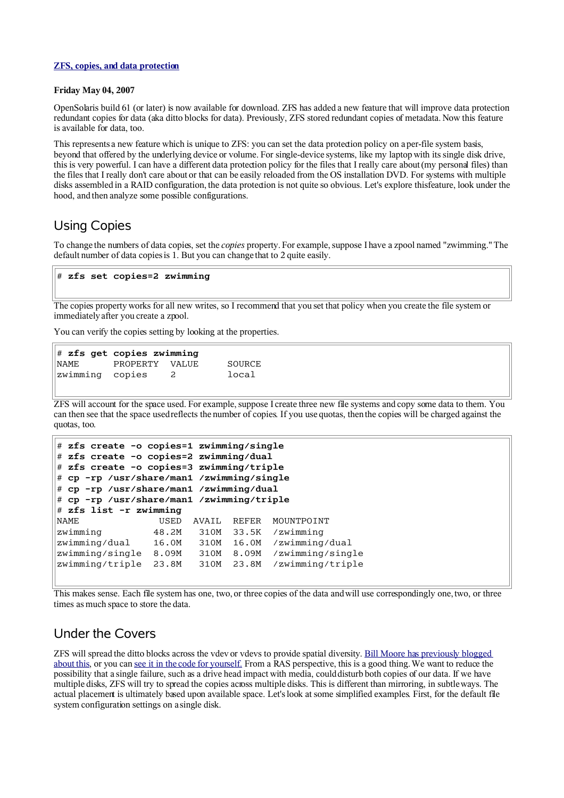#### **[ZFS, copies, and data protection](http://blogs.sun.com/relling/entry/zfs_copies_and_data_protection)**

#### **Friday May 04, 2007**

OpenSolaris build 61 (or later) is now available for download. ZFS has added a new feature that will improve data protection: redundant copies for data (aka ditto blocks for data). Previously, ZFS stored redundant copies of metadata. Now this feature is available for data, too.

This represents a new feature which is unique to ZFS: you can set the data protection policy on a per-file system basis, beyond that offered by the underlying device or volume. For single-device systems, like my laptop with its single disk drive, this is very powerful. I can have a different data protection policy for the files that I really care about (my personal files) than the files that I really don't care about or that can be easily reloaded from the OS installation DVD. For systems with multiple disks assembled in a RAID configuration, the data protection is not quite so obvious. Let's explore this feature, look under the hood, and then analyze some possible configurations.

# Using Copies

To change the numbers of data copies, set the *copies* property. For example, suppose I have a zpool named "zwimming." The default number of data copies is 1. But you can change that to 2 quite easily.

### # **zfs set copies=2 zwimming**

The copies property works for all new writes, so I recommend that you set that policy when you create the file system or immediatelyafter you create a zpool.

You can verify the copies setting by looking at the properties.

| $\#$ zfs get copies zwimming |                |                |        |
|------------------------------|----------------|----------------|--------|
| <b>NAME</b>                  | PROPERTY VALUE |                | SOURCE |
| zwimming copies              |                | $\overline{c}$ | local  |

ZFS will account for the space used. For example, suppose I create three new file systems and copy some data to them. You can then see that the space used reflects the number of copies. If you use quotas, then the copies will be charged against the quotas, too.

```
# zfs create -o copies=1 zwimming/single
# zfs create -o copies=2 zwimming/dual
# zfs create -o copies=3 zwimming/triple
# cp -rp /usr/share/man1 /zwimming/single
# cp -rp /usr/share/man1 /zwimming/dual
# cp -rp /usr/share/man1 /zwimming/triple
# zfs list -r zwimming
NAME USED AVAIL REFER MOUNTPOINT
zwimming 48.2M 310M 33.5K /zwimming
zwimming/dual 16.0M 310M 16.0M /zwimming/dual
zwimming/single 8.09M 310M 8.09M /zwimming/single
zwimming/triple 23.8M 310M 23.8M /zwimming/triple
```
This makes sense. Each file system has one, two, or three copies of the data and will use correspondingly one, two, or three times as much space to store the data.

### Under the Covers

ZFS will spread the ditto blocks across the vdev or vdevs to provide spatial diversity. [Bill Moore has previously blogged](http://blogs.sun.com/bill/entry/ditto_blocks_the_amazing_tape) [about](http://blogs.sun.com/bill/entry/ditto_blocks_the_amazing_tape) this, or you can [see it in the code for yourself.](http://cvs.opensolaris.org/source/xref/onnv/onnv-gate/usr/src/uts/common/fs/zfs/metaslab.c#733) From a RAS perspective, this is a good thing.We want to reduce the possibility that a single failure, such as a drive head impact with media, could disturb both copies of our data. If we have multiple disks, ZFS will try to spread the copies across multiple disks. This is different than mirroring, in subtle ways. The actual placement is ultimately based upon available space. Let's look at some simplified examples. First, for the default file system configuration settings on a single disk.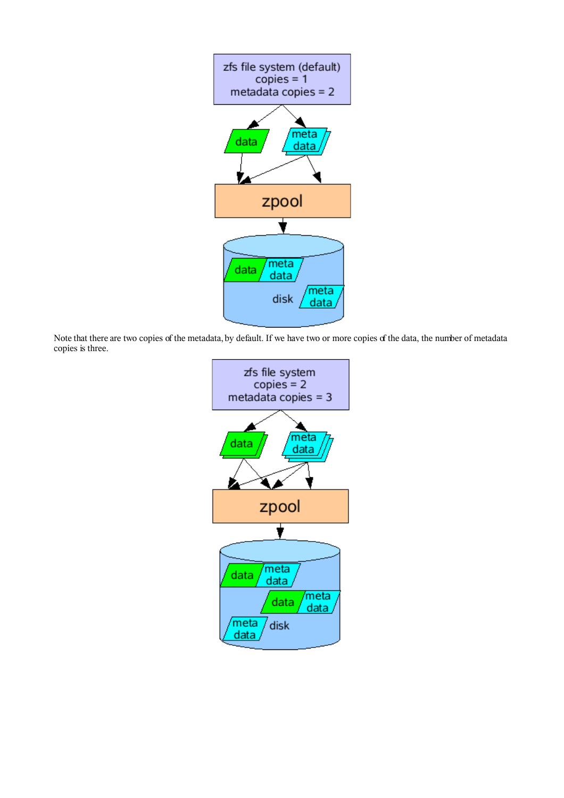

Note that there are two copies of the metadata, by default. If we have two or more copies of the data, the number of metadata copies is three.

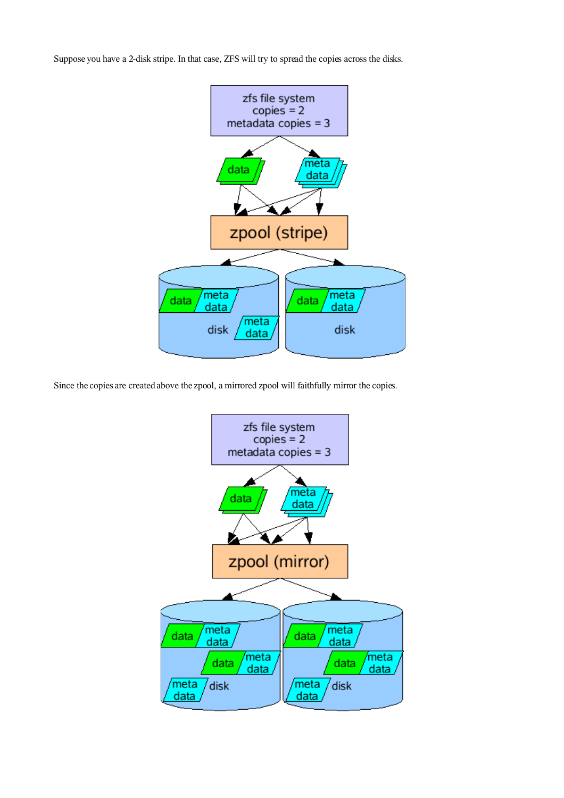Suppose you have a 2-disk stripe. In that case, ZFS will try to spread the copies across the disks.



Since the copies are created above the zpool, a mirrored zpool will faithfully mirror the copies.

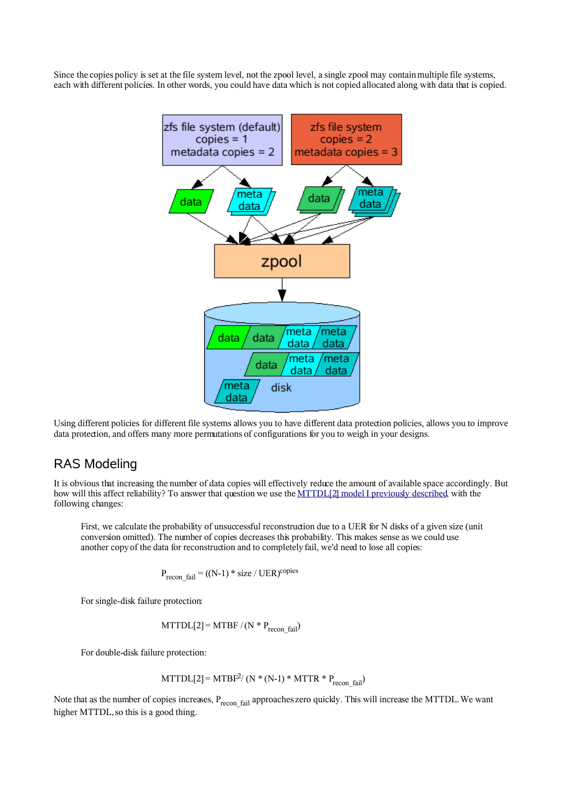Since the copies policy is set at the file system level, not the zpool level, a single zpool may contain multiple file systems, each with different policies. In other words, you could have data which is not copied allocated along with data that is copied.



Using different policies for different file systems allows you to have different data protection policies, allows you to improve data protection, and offers many more permutations of configurations for you to weigh in your designs.

### RAS Modeling

It is obvious that increasing the number of data copies will effectively reduce the amount of available space accordingly. But how will this affect reliability? To answer that question we use the [MTTDL\[2\] model I previously described,](http://blogs.sun.com/relling/entry/a_story_of_two_mttdl) with the following changes:

First, we calculate the probability of unsuccessful reconstruction due to a UER for N disks of a given size (unit conversion omitted). The number of copies decreases this probability. This makes sense as we could use another copyof the data for reconstruction and to completely fail, we'd need to lose all copies:

$$
P_{\text{recon-fail}} = ((N-1) * size / UER)^{\text{copies}}
$$

For single-disk failure protection:

 $MTTDL[2] = MTBF / (N * P_{recon-fail})$ 

For double-disk failure protection:

$$
MTTDL[2] = MTBF^{2}/ (N * (N-1) * MTTR * P_{recon fail})
$$

Note that as the number of copies increases,  $P_{recon-fail}$  approaches zero quickly. This will increase the MTTDL. We want higher MTTDL, so this is a good thing.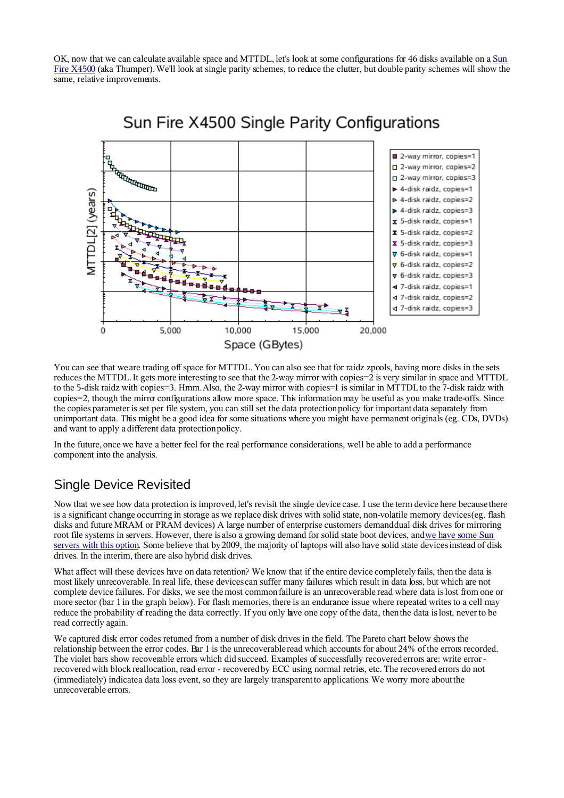OK, now that we can calculate available space and MTTDL, let's look at some configurations for 46 disks available on a [Sun](http://www.sun.com/servers/x64/x4500/) [Fire X4500](http://www.sun.com/servers/x64/x4500/) (aka Thumper). We'll look at single parity schemes, to reduce the clutter, but double parity schemes will show the same, relative improvements.



# Sun Fire X4500 Single Parity Configurations

You can see that we are trading off space for MTTDL. You can also see that for raidz zpools, having more disks in the sets reduces the MTTDL. It gets more interesting to see that the 2-way mirror with copies=2 is very similar in space and MTTDL to the 5-disk raidz with copies=3. Hmm. Also, the 2-way mirror with copies=1 is similar in MTTDL to the 7-disk raidz with copies=2, though the mirror configurations allow more space. This information may be useful as you make trade-offs. Since the copies parameter is set per file system, you can still set the data protection policy for important data separately from unimportant data. This might be a good idea for some situations where you might have permanent originals (eg. CDs, DVDs) and want to apply a different data protection policy.

In the future, once we have a better feel for the real performance considerations, we'll be able to add a performance component into the analysis.

# Single Device Revisited

Now that we see how data protection is improved, let's revisit the single device case. I use the term device here because there is a significant change occurring in storage as we replace disk drives with solid state, non-volatile memory devices(eg. flash disks and future MRAM or PRAM devices). A large number of enterprise customers demand dual disk drives for mirroring root file systems in servers. However, there is also a growing demand for solid state boot devices, an[dwe have some Sun](http://www.sun.com/products-n-solutions/hw/networking/ct900/) [servers with this option.](http://www.sun.com/products-n-solutions/hw/networking/ct900/) Some believe that by2009, the majority of laptops will also have solid state devicesinstead of disk drives. In the interim, there are also hybrid disk drives.

What affect will these devices have on data retention? We know that if the entire device completely fails, then the data is most likely unrecoverable. In real life, these devicescan suffer many failures which result in data loss, but which are not complete device failures. For disks, we see themost common failure is an unrecoverable read where data is lost from one or more sector (bar 1 in the graph below). For flash memories, there is an endurance issue where repeated writes to a cell may reduce the probability of reading the data correctly. If you only have one copy of the data, then the data is lost, never to be read correctly again.

We captured disk error codes returned from a number of disk drives in the field. The Pareto chart below shows the relationship between the error codes. Bar 1 is the unrecoverable read which accounts for about 24% of the errors recorded. The violet bars show recoverable errors which did succeed. Examples of successfully recovered errors are: write error recoveredwith block reallocation, read error - recovered by ECC using normal retries, etc. The recovered errors do not (immediately) indicatea data loss event, so they are largely transparent to applications. We worry more about the unrecoverable errors.